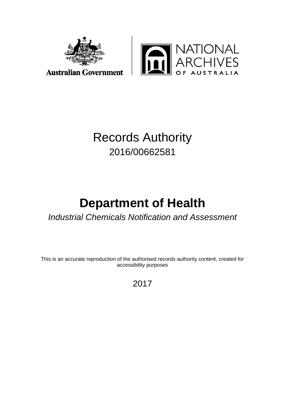



# Records Authority 2016/00662581

# **Department of Health**

# *Industrial Chemicals Notification and Assessment*

This is an accurate reproduction of the authorised records authority content, created for accessibility purposes

2017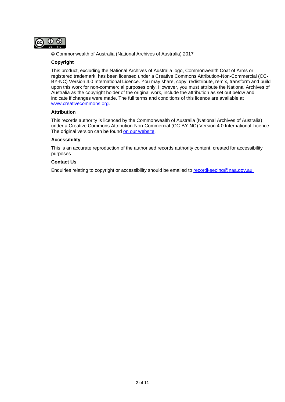

© Commonwealth of Australia (National Archives of Australia) 2017

### **Copyright**

This product, excluding the National Archives of Australia logo, Commonwealth Coat of Arms or registered trademark, has been licensed under a Creative Commons Attribution-Non-Commercial (CC-BY-NC) Version 4.0 International Licence. You may share, copy, redistribute, remix, transform and build upon this work for non-commercial purposes only. However, you must attribute the National Archives of Australia as the copyright holder of the original work, include the attribution as set out below and indicate if changes were made. The full terms and conditions of this licence are available at [www.creativecommons.org.](http://www.creativecommons.org/)

### **Attribution**

This records authority is licenced by the Commonwealth of Australia (National Archives of Australia) under a Creative Commons Attribution-Non-Commercial (CC-BY-NC) Version 4.0 International Licence. The original version can be found [on our website.](http://www.naa.gov.au/)

### **Accessibility**

This is an accurate reproduction of the authorised records authority content, created for accessibility purposes.

### **Contact Us**

Enquiries relating to copyright or accessibility should be emailed to [recordkeeping@naa.gov.au.](mailto:recordkeeping@naa.gov.au)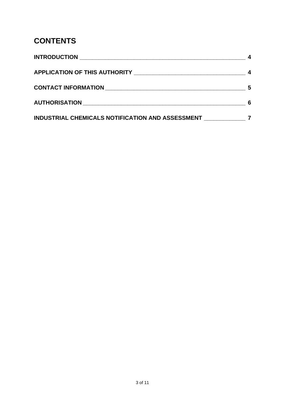# **CONTENTS**

| <b>INTRODUCTION</b><br><u> 1980 - Andrea Andrew Maria (h. 1980).</u> |   |
|----------------------------------------------------------------------|---|
|                                                                      |   |
|                                                                      | 5 |
| <b>AUTHORISATION AUTHORISATION</b>                                   |   |
| INDUSTRIAL CHEMICALS NOTIFICATION AND ASSESSMENT                     |   |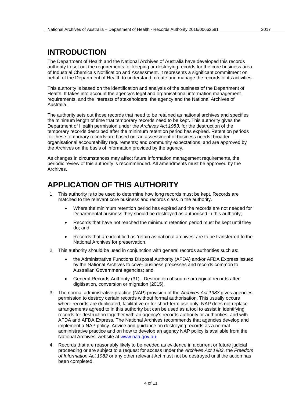## <span id="page-3-0"></span>**INTRODUCTION**

The Department of Health and the National Archives of Australia have developed this records authority to set out the requirements for keeping or destroying records for the core business area of Industrial Chemicals Notification and Assessment. It represents a significant commitment on behalf of the Department of Health to understand, create and manage the records of its activities.

This authority is based on the identification and analysis of the business of the Department of Health. It takes into account the agency's legal and organisational information management requirements, and the interests of stakeholders, the agency and the National Archives of Australia.

The authority sets out those records that need to be retained as national archives and specifies the minimum length of time that temporary records need to be kept. This authority gives the Department of Health permission under the *Archives Act 1983*, for the destruction of the temporary records described after the minimum retention period has expired. Retention periods for these temporary records are based on: an assessment of business needs; broader organisational accountability requirements; and community expectations, and are approved by the Archives on the basis of information provided by the agency.

As changes in circumstances may affect future information management requirements, the periodic review of this authority is recommended. All amendments must be approved by the Archives.

## <span id="page-3-1"></span>**APPLICATION OF THIS AUTHORITY**

- 1. This authority is to be used to determine how long records must be kept. Records are matched to the relevant core business and records class in the authority.
	- Where the minimum retention period has expired and the records are not needed for Departmental business they should be destroyed as authorised in this authority;
	- Records that have not reached the minimum retention period must be kept until they do; and
	- Records that are identified as 'retain as national archives' are to be transferred to the National Archives for preservation.
- 2. This authority should be used in conjunction with general records authorities such as:
	- the Administrative Functions Disposal Authority (AFDA) and/or AFDA Express issued by the National Archives to cover business processes and records common to Australian Government agencies; and
	- General Records Authority (31) Destruction of source or original records after digitisation, conversion or migration (2015).
- 3. The normal administrative practice (NAP) provision of the *Archives Act 1983* gives agencies permission to destroy certain records without formal authorisation. This usually occurs where records are duplicated, facilitative or for short-term use only. NAP does not replace arrangements agreed to in this authority but can be used as a tool to assist in identifying records for destruction together with an agency's records authority or authorities, and with AFDA and AFDA Express. The National Archives recommends that agencies develop and implement a NAP policy. Advice and guidance on destroying records as a normal administrative practice and on how to develop an agency NAP policy is available from the National Archives' website at [www.naa.gov.au.](http://www.naa.gov.au/)
- 4. Records that are reasonably likely to be needed as evidence in a current or future judicial proceeding or are subject to a request for access under the *Archives Act 1983*, the *Freedom of Information Act 1982* or any other relevant Act must not be destroyed until the action has been completed.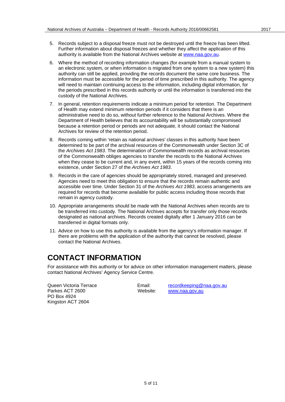- 5. Records subject to a disposal freeze must not be destroyed until the freeze has been lifted. Further information about disposal freezes and whether they affect the application of this authority is available from the National Archives website at [www.naa.gov.au.](http://www.naa.gov.au/)
- 6. Where the method of recording information changes (for example from a manual system to an electronic system, or when information is migrated from one system to a new system) this authority can still be applied, providing the records document the same core business. The information must be accessible for the period of time prescribed in this authority. The agency will need to maintain continuing access to the information, including digital information, for the periods prescribed in this records authority or until the information is transferred into the custody of the National Archives.
- 7. In general, retention requirements indicate a minimum period for retention. The Department of Health may extend minimum retention periods if it considers that there is an administrative need to do so, without further reference to the National Archives. Where the Department of Health believes that its accountability will be substantially compromised because a retention period or periods are not adequate, it should contact the National Archives for review of the retention period.
- 8. Records coming within 'retain as national archives' classes in this authority have been determined to be part of the archival resources of the Commonwealth under Section 3C of the *Archives Act 1983*. The determination of Commonwealth records as archival resources of the Commonwealth obliges agencies to transfer the records to the National Archives when they cease to be current and, in any event, within 15 years of the records coming into existence, under Section 27 of the *Archives Act 1983*.
- 9. Records in the care of agencies should be appropriately stored, managed and preserved. Agencies need to meet this obligation to ensure that the records remain authentic and accessible over time. Under Section 31 of the *Archives Act 1983*, access arrangements are required for records that become available for public access including those records that remain in agency custody.
- 10. Appropriate arrangements should be made with the National Archives when records are to be transferred into custody. The National Archives accepts for transfer only those records designated as national archives. Records created digitally after 1 January 2016 can be transferred in digital formats only.
- 11. Advice on how to use this authority is available from the agency's information manager. If there are problems with the application of the authority that cannot be resolved, please contact the National Archives.

## <span id="page-4-0"></span>**CONTACT INFORMATION**

For assistance with this authority or for advice on other information management matters, please contact National Archives' Agency Service Centre.

Parkes ACT 2600 PO Box 4924 Kingston ACT 2604

Queen Victoria Terrace Email: [recordkeeping@naa.gov.au](mailto:recordkeeping@naa.gov.au)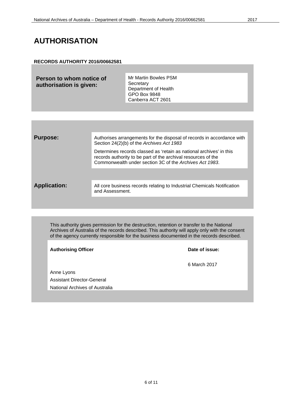## <span id="page-5-0"></span>**AUTHORISATION**

## **RECORDS AUTHORITY 2016/00662581**

| Person to whom notice of<br>authorisation is given: | Mr Martin Bowles PSM<br>Secretary<br>Department of Health<br>GPO Box 9848 |
|-----------------------------------------------------|---------------------------------------------------------------------------|
|                                                     | Canberra ACT 2601                                                         |

| <b>Purpose:</b>     | Authorises arrangements for the disposal of records in accordance with<br>Section 24(2)(b) of the Archives Act 1983                                                                             |
|---------------------|-------------------------------------------------------------------------------------------------------------------------------------------------------------------------------------------------|
|                     | Determines records classed as 'retain as national archives' in this<br>records authority to be part of the archival resources of the<br>Commonwealth under section 3C of the Archives Act 1983. |
|                     |                                                                                                                                                                                                 |
| <b>Application:</b> | All core business records relating to Industrial Chemicals Notification<br>and Assessment.                                                                                                      |
|                     |                                                                                                                                                                                                 |

This authority gives permission for the destruction, retention or transfer to the National Archives of Australia of the records described. This authority will apply only with the consent of the agency currently responsible for the business documented in the records described.

Authorising Officer **Contract Contract Contract Contract Contract Contract Contract Contract Contract Contract Contract Contract Contract Contract Contract Contract Contract Contract Contract Contract Contract Contract Con** 

6 March 2017

Anne Lyons Assistant Director-General National Archives of Australia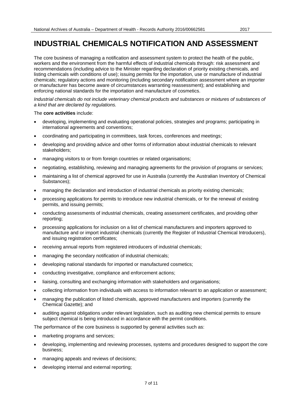<span id="page-6-0"></span>The core business of managing a notification and assessment system to protect the health of the public, workers and the environment from the harmful effects of industrial chemicals through: risk assessment and recommendations (including advice to the Minister regarding declaration of priority existing chemicals, and listing chemicals with conditions of use); issuing permits for the importation, use or manufacture of industrial chemicals; regulatory actions and monitoring (including secondary notification assessment where an importer or manufacturer has become aware of circumstances warranting reassessment); and establishing and enforcing national standards for the importation and manufacture of cosmetics.

*Industrial chemicals do not include veterinary chemical products and substances or mixtures of substances of a kind that are declared by regulations.*

The **core activities** include:

- developing, implementing and evaluating operational policies, strategies and programs; participating in international agreements and conventions;
- coordinating and participating in committees, task forces, conferences and meetings;
- developing and providing advice and other forms of information about industrial chemicals to relevant stakeholders;
- managing visitors to or from foreign countries or related organisations;
- negotiating, establishing, reviewing and managing agreements for the provision of programs or services;
- maintaining a list of chemical approved for use in Australia (currently the Australian Inventory of Chemical Substances);
- managing the declaration and introduction of industrial chemicals as priority existing chemicals;
- processing applications for permits to introduce new industrial chemicals, or for the renewal of existing permits, and issuing permits;
- conducting assessments of industrial chemicals, creating assessment certificates, and providing other reporting;
- processing applications for inclusion on a list of chemical manufacturers and importers approved to manufacture and or import industrial chemicals (currently the Register of Industrial Chemical Introducers), and issuing registration certificates;
- receiving annual reports from registered introducers of industrial chemicals;
- managing the secondary notification of industrial chemicals;
- developing national standards for imported or manufactured cosmetics;
- conducting investigative, compliance and enforcement actions;
- liaising, consulting and exchanging information with stakeholders and organisations;
- collecting information from individuals with access to information relevant to an application or assessment;
- managing the publication of listed chemicals, approved manufacturers and importers (currently the Chemical Gazette); and
- auditing against obligations under relevant legislation, such as auditing new chemical permits to ensure subject chemical is being introduced in accordance with the permit conditions.

The performance of the core business is supported by general activities such as:

- marketing programs and services;
- developing, implementing and reviewing processes, systems and procedures designed to support the core business;
- managing appeals and reviews of decisions;
- developing internal and external reporting;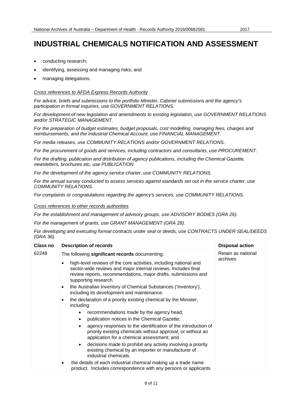- conducting research;
- identifying, assessing and managing risks; and
- managing delegations.

## *Cross references to AFDA Express Records Authority*

*For advice, briefs and submissions to the portfolio Minister, Cabinet submissions and the agency's participation in formal inquiries, use GOVERNMENT RELATIONS.*

*For development of new legislation and amendments to existing legislation, use GOVERNMENT RELATIONS and/or STRATEGIC MANAGEMENT.*

*For the preparation of budget estimates, budget proposals, cost modelling, managing fees, charges and reimbursements, and the Industrial Chemical Account, use FINANCIAL MANAGEMENT.*

*For media releases, use COMMUNITY RELATIONS and/or GOVERNMENT RELATIONS.*

*For the procurement of goods and services, including contractors and consultants, use PROCUREMENT.*

*For the drafting, publication and distribution of agency publications, including the Chemical Gazette, newsletters, brochures etc, use PUBLICATION.*

*For the development of the agency service charter, use COMMUNITY RELATIONS.*

*For the annual survey conducted to assess services against standards set out in the service charter, use COMMUNITY RELATIONS.*

*For complaints or congratulations regarding the agency's services, use COMMUNITY RELATIONS.*

*Cross references to other records authorities*

*For the establishment and management of advisory groups, use ADVISORY BODIES (GRA 26).* 

*For the management of grants, use GRANT MANAGEMENT (GRA 28).*

*For developing and executing formal contracts under seal or deeds, use CONTRACTS UNDER SEAL/DEEDS (GRA 36).*

| Class no | <b>Description of records</b>                                                                                                                                                                                                              | <b>Disposal action</b> |
|----------|--------------------------------------------------------------------------------------------------------------------------------------------------------------------------------------------------------------------------------------------|------------------------|
| 62248    | The following significant records documenting:                                                                                                                                                                                             | Retain as national     |
|          | high-level reviews of the core activities, including national and<br>$\bullet$<br>sector-wide reviews and major internal reviews. Includes final<br>review reports, recommendations, major drafts, submissions and<br>supporting research. | archives               |
|          | the Australian Inventory of Chemical Substances ('Inventory'),<br>$\bullet$<br>including its development and maintenance.                                                                                                                  |                        |
|          | the declaration of a priority existing chemical by the Minister,<br>$\bullet$<br>including:                                                                                                                                                |                        |
|          | recommendations made by the agency head;                                                                                                                                                                                                   |                        |
|          | publication notices in the Chemical Gazette;<br>$\bullet$                                                                                                                                                                                  |                        |
|          | agency responses to the identification of the introduction of<br>priority existing chemicals without approval, or without an<br>application for a chemical assessment; and                                                                 |                        |
|          | decisions made to prohibit any activity involving a priority<br>$\bullet$<br>existing chemical by an importer or manufacturer of<br>industrial chemicals.                                                                                  |                        |
|          | the details of each industrial chemical making up a trade name<br>$\bullet$<br>product. Includes correspondence with any persons or applicants                                                                                             |                        |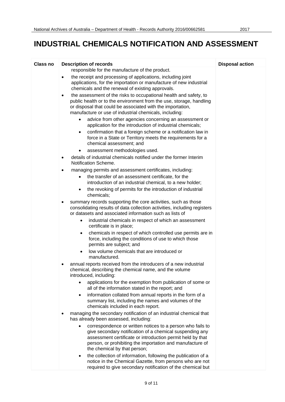| <b>Class no</b> | <b>Description of records</b>                                                                                                                                                                                                                                                                                                           | <b>Disposal action</b> |
|-----------------|-----------------------------------------------------------------------------------------------------------------------------------------------------------------------------------------------------------------------------------------------------------------------------------------------------------------------------------------|------------------------|
|                 | responsible for the manufacture of the product.<br>the receipt and processing of applications, including joint<br>applications, for the importation or manufacture of new industrial<br>chemicals and the renewal of existing approvals.                                                                                                |                        |
|                 | the assessment of the risks to occupational health and safety, to<br>$\bullet$<br>public health or to the environment from the use, storage, handling<br>or disposal that could be associated with the importation,<br>manufacture or use of industrial chemicals, including:<br>advice from other agencies concerning an assessment or |                        |
|                 | application for the introduction of industrial chemicals;<br>confirmation that a foreign scheme or a notification law in<br>٠<br>force in a State or Territory meets the requirements for a<br>chemical assessment; and                                                                                                                 |                        |
|                 | assessment methodologies used.<br>$\bullet$                                                                                                                                                                                                                                                                                             |                        |
|                 | details of industrial chemicals notified under the former Interim<br>Notification Scheme.                                                                                                                                                                                                                                               |                        |
|                 | managing permits and assessment certificates, including:<br>٠                                                                                                                                                                                                                                                                           |                        |
|                 | the transfer of an assessment certificate, for the<br>introduction of an industrial chemical, to a new holder;                                                                                                                                                                                                                          |                        |
|                 | the revoking of permits for the introduction of industrial<br>chemicals;                                                                                                                                                                                                                                                                |                        |
|                 | summary records supporting the core activities, such as those<br>$\bullet$<br>consolidating results of data collection activities, including registers<br>or datasets and associated information such as lists of                                                                                                                       |                        |
|                 | industrial chemicals in respect of which an assessment<br>certificate is in place;                                                                                                                                                                                                                                                      |                        |
|                 | chemicals in respect of which controlled use permits are in<br>$\bullet$<br>force, including the conditions of use to which those<br>permits are subject; and                                                                                                                                                                           |                        |
|                 | low volume chemicals that are introduced or<br>$\bullet$<br>manufactured.                                                                                                                                                                                                                                                               |                        |
|                 | annual reports received from the introducers of a new industrial<br>chemical, describing the chemical name, and the volume<br>introduced, including:                                                                                                                                                                                    |                        |
|                 | applications for the exemption from publication of some or<br>all of the information stated in the report; and                                                                                                                                                                                                                          |                        |
|                 | information collated from annual reports in the form of a<br>$\bullet$<br>summary list, including the names and volumes of the<br>chemicals included in each report.                                                                                                                                                                    |                        |
|                 | managing the secondary notification of an industrial chemical that<br>has already been assessed, including:                                                                                                                                                                                                                             |                        |
|                 | correspondence or written notices to a person who fails to<br>give secondary notification of a chemical suspending any<br>assessment certificate or introduction permit held by that<br>person, or prohibiting the importation and manufacture of<br>the chemical by that person;                                                       |                        |
|                 | the collection of information, following the publication of a<br>notice in the Chemical Gazette, from persons who are not<br>required to give secondary notification of the chemical but                                                                                                                                                |                        |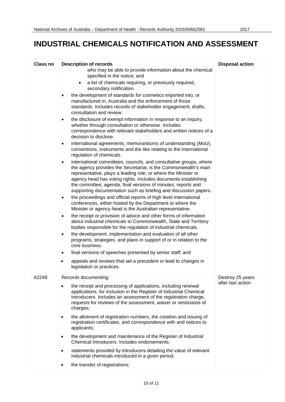| <b>Class no</b> | <b>Description of records</b>                                                                                                                                                                                                                                                                                                                                                                                                                                                                                                                                                                                                                                                                                                                                                                                                                                                                                                                                                                                                                                                                                                                                                                                                                                                                                                                                                                                                                                                                                                                                                                                                                                                                                                                                                                                                                                                                                                                                                                                                                | <b>Disposal action</b>                |
|-----------------|----------------------------------------------------------------------------------------------------------------------------------------------------------------------------------------------------------------------------------------------------------------------------------------------------------------------------------------------------------------------------------------------------------------------------------------------------------------------------------------------------------------------------------------------------------------------------------------------------------------------------------------------------------------------------------------------------------------------------------------------------------------------------------------------------------------------------------------------------------------------------------------------------------------------------------------------------------------------------------------------------------------------------------------------------------------------------------------------------------------------------------------------------------------------------------------------------------------------------------------------------------------------------------------------------------------------------------------------------------------------------------------------------------------------------------------------------------------------------------------------------------------------------------------------------------------------------------------------------------------------------------------------------------------------------------------------------------------------------------------------------------------------------------------------------------------------------------------------------------------------------------------------------------------------------------------------------------------------------------------------------------------------------------------------|---------------------------------------|
|                 | who may be able to provide information about the chemical<br>specified in the notice; and<br>a list of chemicals requiring, or previously required,<br>$\bullet$<br>secondary notification.<br>the development of standards for cosmetics imported into, or<br>٠<br>manufactured in, Australia and the enforcement of those<br>standards. Includes records of stakeholder engagement, drafts,<br>consultation and review.<br>the disclosure of exempt information in response to an inquiry,<br>$\bullet$<br>whether through consultation or otherwise. Includes<br>correspondence with relevant stakeholders and written notices of a<br>decision to disclose.<br>international agreements, memorandums of understanding (MoU),<br>٠<br>conventions, instruments and the like relating to the international<br>regulation of chemicals.<br>international committees, councils, and consultative groups, where<br>٠<br>the agency provides the Secretariat, is the Commonwealth's main<br>representative, plays a leading role, or where the Minister or<br>agency head has voting rights. Includes documents establishing<br>the committee, agenda, final versions of minutes, reports and<br>supporting documentation such as briefing and discussion papers.<br>the proceedings and official reports of high level international<br>$\bullet$<br>conferences, either hosted by the Department or where the<br>Minister or agency head is the Australian representative.<br>the receipt or provision of advice and other forms of information<br>٠<br>about industrial chemicals to Commonwealth, State and Territory<br>bodies responsible for the regulation of industrial chemicals.<br>the development, implementation and evaluation of all other<br>$\bullet$<br>programs, strategies, and plans in support of or in relation to the<br>core business.<br>final versions of speeches presented by senior staff; and<br>٠<br>appeals and reviews that set a precedent or lead to changes in<br>$\bullet$<br>legislation or practices. |                                       |
| 62249           | Records documenting:<br>the receipt and processing of applications, including renewal<br>$\bullet$<br>applications, for inclusion in the Register of Industrial Chemical<br>Introducers. Includes an assessment of the registration charge,<br>requests for reviews of the assessment, waiver or remissions of<br>charges;<br>the allotment of registration numbers, the creation and issuing of<br>$\bullet$<br>registration certificates, and correspondence with and notices to<br>applicants;<br>the development and maintenance of the Register of Industrial<br>$\bullet$<br>Chemical Introducers. Includes endorsements;<br>statements provided by introducers detailing the value of relevant<br>$\bullet$<br>industrial chemicals introduced in a given period;<br>the transfer of registrations;<br>$\bullet$                                                                                                                                                                                                                                                                                                                                                                                                                                                                                                                                                                                                                                                                                                                                                                                                                                                                                                                                                                                                                                                                                                                                                                                                                      | Destroy 25 years<br>after last action |